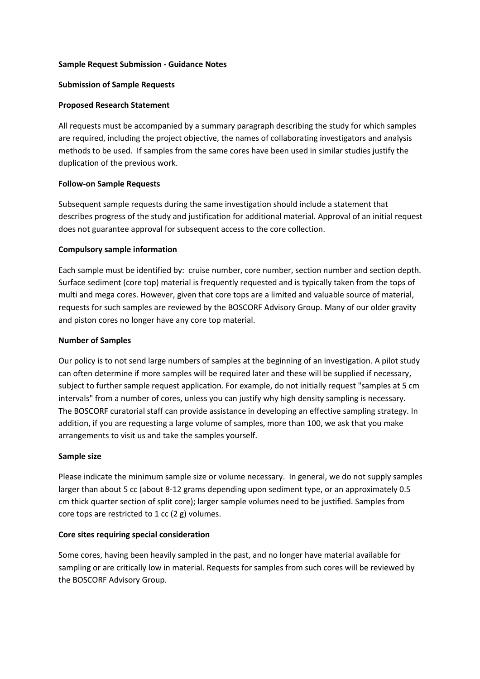## **Sample Request Submission - Guidance Notes**

### **Submission of Sample Requests**

## **Proposed Research Statement**

All requests must be accompanied by a summary paragraph describing the study for which samples are required, including the project objective, the names of collaborating investigators and analysis methods to be used. If samples from the same cores have been used in similar studies justify the duplication of the previous work.

## **Follow-on Sample Requests**

Subsequent sample requests during the same investigation should include a statement that describes progress of the study and justification for additional material. Approval of an initial request does not guarantee approval for subsequent access to the core collection.

## **Compulsory sample information**

Each sample must be identified by: cruise number, core number, section number and section depth. Surface sediment (core top) material is frequently requested and is typically taken from the tops of multi and mega cores. However, given that core tops are a limited and valuable source of material, requests for such samples are reviewed by the BOSCORF Advisory Group. Many of our older gravity and piston cores no longer have any core top material.

### **Number of Samples**

Our policy is to not send large numbers of samples at the beginning of an investigation. A pilot study can often determine if more samples will be required later and these will be supplied if necessary, subject to further sample request application. For example, do not initially request "samples at 5 cm intervals" from a number of cores, unless you can justify why high density sampling is necessary. The BOSCORF curatorial staff can provide assistance in developing an effective sampling strategy. In addition, if you are requesting a large volume of samples, more than 100, we ask that you make arrangements to visit us and take the samples yourself.

#### **Sample size**

Please indicate the minimum sample size or volume necessary. In general, we do not supply samples larger than about 5 cc (about 8-12 grams depending upon sediment type, or an approximately 0.5 cm thick quarter section of split core); larger sample volumes need to be justified. Samples from core tops are restricted to 1 cc (2 g) volumes.

#### **Core sites requiring special consideration**

Some cores, having been heavily sampled in the past, and no longer have material available for sampling or are critically low in material. Requests for samples from such cores will be reviewed by the BOSCORF Advisory Group.